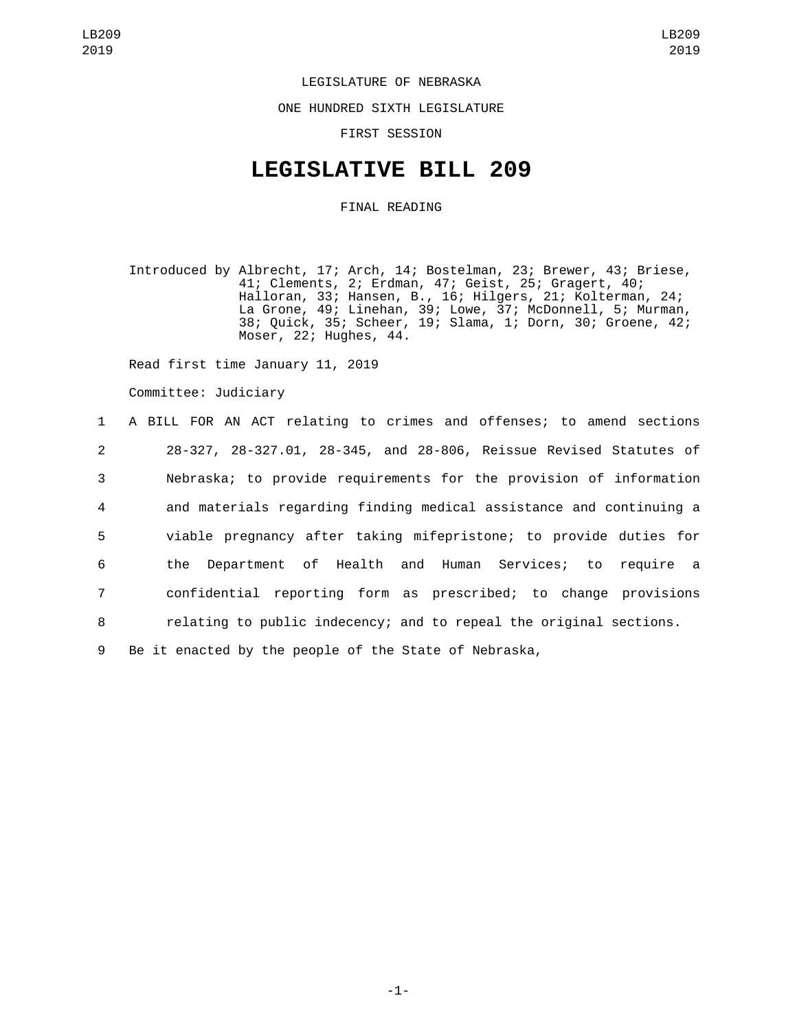## LEGISLATURE OF NEBRASKA

ONE HUNDRED SIXTH LEGISLATURE

FIRST SESSION

## **LEGISLATIVE BILL 209**

FINAL READING

Introduced by Albrecht, 17; Arch, 14; Bostelman, 23; Brewer, 43; Briese, 41; Clements, 2; Erdman, 47; Geist, 25; Gragert, 40; Halloran, 33; Hansen, B., 16; Hilgers, 21; Kolterman, 24; La Grone, 49; Linehan, 39; Lowe, 37; McDonnell, 5; Murman, 38; Quick, 35; Scheer, 19; Slama, 1; Dorn, 30; Groene, 42; Moser, 22; Hughes, 44.

Read first time January 11, 2019

Committee: Judiciary

 A BILL FOR AN ACT relating to crimes and offenses; to amend sections 28-327, 28-327.01, 28-345, and 28-806, Reissue Revised Statutes of Nebraska; to provide requirements for the provision of information and materials regarding finding medical assistance and continuing a viable pregnancy after taking mifepristone; to provide duties for the Department of Health and Human Services; to require a confidential reporting form as prescribed; to change provisions relating to public indecency; and to repeal the original sections. Be it enacted by the people of the State of Nebraska,

-1-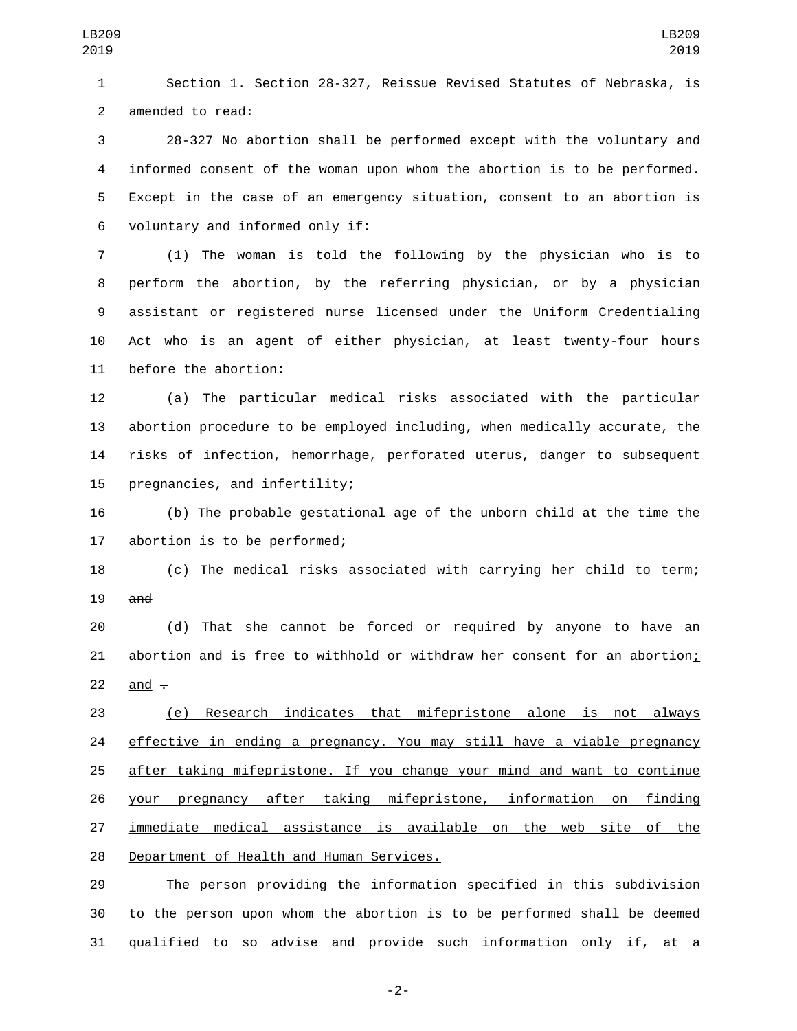Section 1. Section 28-327, Reissue Revised Statutes of Nebraska, is 2 amended to read:

 28-327 No abortion shall be performed except with the voluntary and informed consent of the woman upon whom the abortion is to be performed. Except in the case of an emergency situation, consent to an abortion is voluntary and informed only if:6

 (1) The woman is told the following by the physician who is to perform the abortion, by the referring physician, or by a physician assistant or registered nurse licensed under the Uniform Credentialing Act who is an agent of either physician, at least twenty-four hours 11 before the abortion:

 (a) The particular medical risks associated with the particular abortion procedure to be employed including, when medically accurate, the risks of infection, hemorrhage, perforated uterus, danger to subsequent 15 pregnancies, and infertility;

 (b) The probable gestational age of the unborn child at the time the 17 abortion is to be performed;

 (c) The medical risks associated with carrying her child to term; and

 (d) That she cannot be forced or required by anyone to have an 21 abortion and is free to withhold or withdraw her consent for an abortion; 22 and  $\overline{z}$ 

 (e) Research indicates that mifepristone alone is not always effective in ending a pregnancy. You may still have a viable pregnancy after taking mifepristone. If you change your mind and want to continue your pregnancy after taking mifepristone, information on finding immediate medical assistance is available on the web site of the 28 Department of Health and Human Services.

 The person providing the information specified in this subdivision to the person upon whom the abortion is to be performed shall be deemed qualified to so advise and provide such information only if, at a

-2-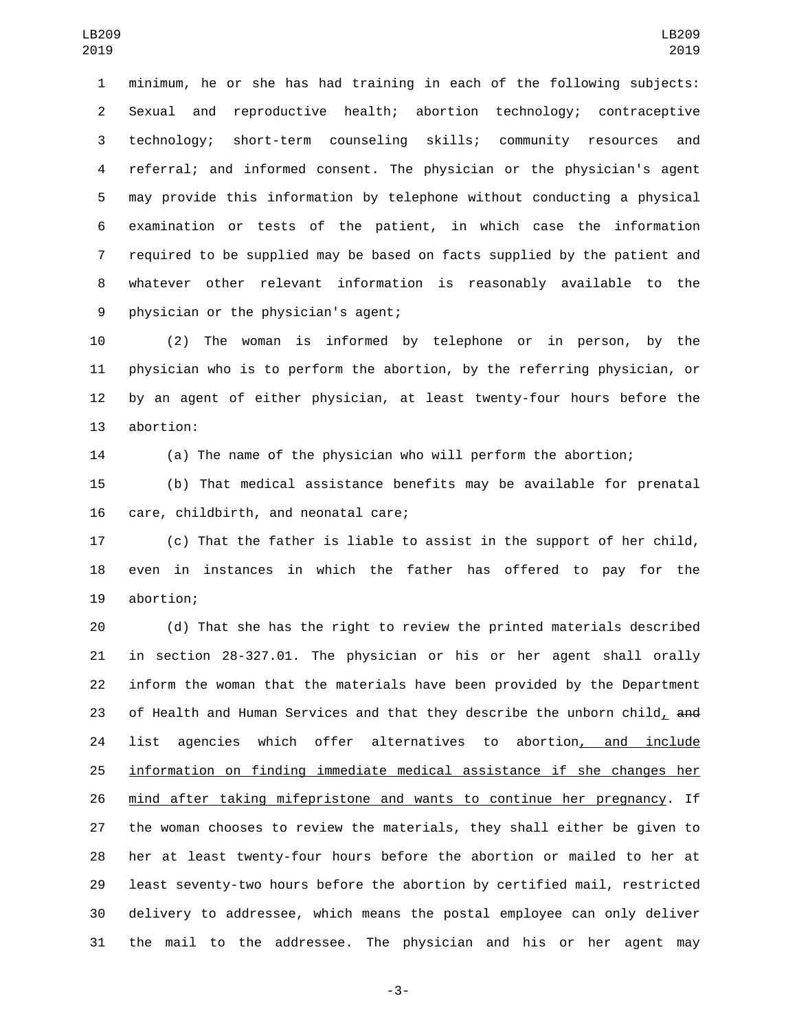minimum, he or she has had training in each of the following subjects: Sexual and reproductive health; abortion technology; contraceptive technology; short-term counseling skills; community resources and referral; and informed consent. The physician or the physician's agent may provide this information by telephone without conducting a physical examination or tests of the patient, in which case the information required to be supplied may be based on facts supplied by the patient and whatever other relevant information is reasonably available to the physician or the physician's agent;9

 (2) The woman is informed by telephone or in person, by the physician who is to perform the abortion, by the referring physician, or by an agent of either physician, at least twenty-four hours before the 13 abortion:

(a) The name of the physician who will perform the abortion;

 (b) That medical assistance benefits may be available for prenatal 16 care, childbirth, and neonatal care;

 (c) That the father is liable to assist in the support of her child, even in instances in which the father has offered to pay for the 19 abortion;

 (d) That she has the right to review the printed materials described in section 28-327.01. The physician or his or her agent shall orally inform the woman that the materials have been provided by the Department 23 of Health and Human Services and that they describe the unborn child, and list agencies which offer alternatives to abortion, and include information on finding immediate medical assistance if she changes her 26 mind after taking mifepristone and wants to continue her pregnancy. If the woman chooses to review the materials, they shall either be given to her at least twenty-four hours before the abortion or mailed to her at least seventy-two hours before the abortion by certified mail, restricted delivery to addressee, which means the postal employee can only deliver the mail to the addressee. The physician and his or her agent may

-3-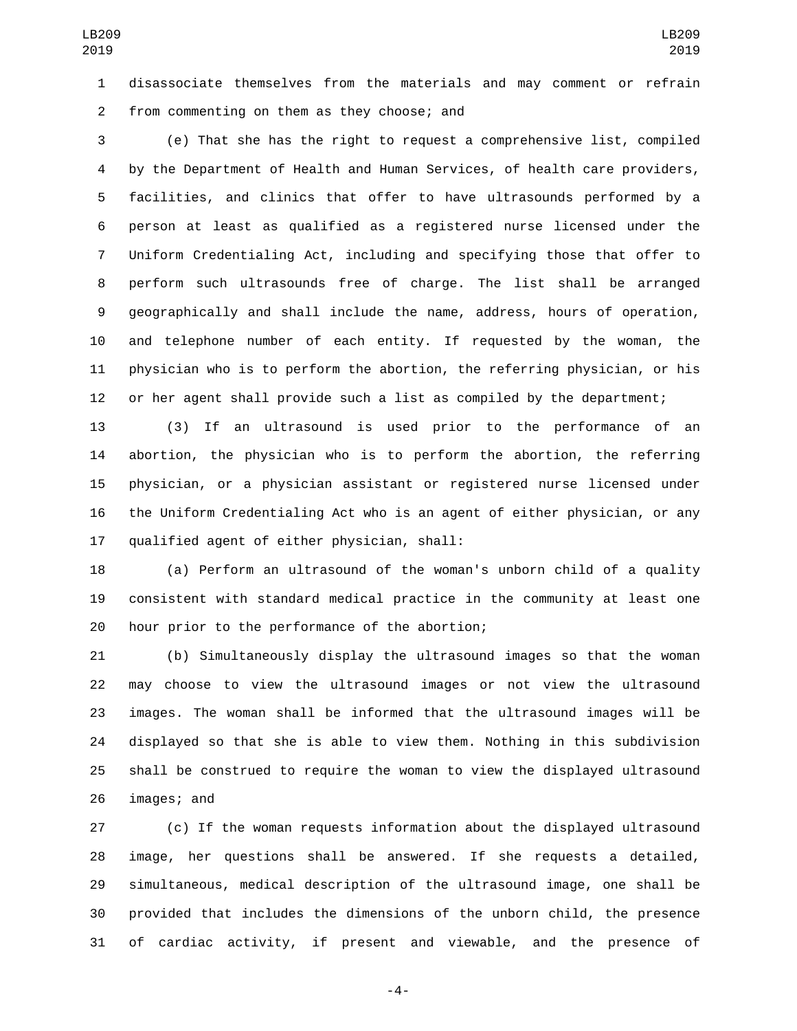disassociate themselves from the materials and may comment or refrain from commenting on them as they choose; and2

 (e) That she has the right to request a comprehensive list, compiled by the Department of Health and Human Services, of health care providers, facilities, and clinics that offer to have ultrasounds performed by a person at least as qualified as a registered nurse licensed under the Uniform Credentialing Act, including and specifying those that offer to perform such ultrasounds free of charge. The list shall be arranged geographically and shall include the name, address, hours of operation, and telephone number of each entity. If requested by the woman, the physician who is to perform the abortion, the referring physician, or his or her agent shall provide such a list as compiled by the department;

 (3) If an ultrasound is used prior to the performance of an abortion, the physician who is to perform the abortion, the referring physician, or a physician assistant or registered nurse licensed under the Uniform Credentialing Act who is an agent of either physician, or any 17 qualified agent of either physician, shall:

 (a) Perform an ultrasound of the woman's unborn child of a quality consistent with standard medical practice in the community at least one 20 hour prior to the performance of the abortion;

 (b) Simultaneously display the ultrasound images so that the woman may choose to view the ultrasound images or not view the ultrasound images. The woman shall be informed that the ultrasound images will be displayed so that she is able to view them. Nothing in this subdivision shall be construed to require the woman to view the displayed ultrasound 26 images; and

 (c) If the woman requests information about the displayed ultrasound image, her questions shall be answered. If she requests a detailed, simultaneous, medical description of the ultrasound image, one shall be provided that includes the dimensions of the unborn child, the presence of cardiac activity, if present and viewable, and the presence of

-4-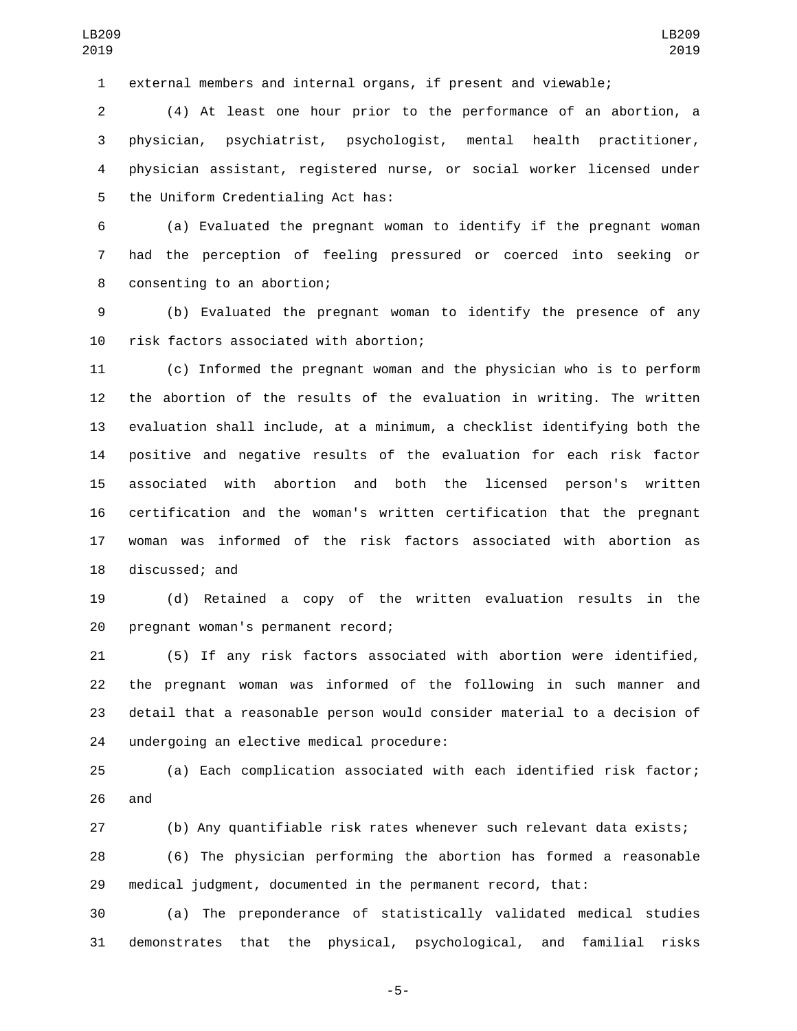external members and internal organs, if present and viewable;

 (4) At least one hour prior to the performance of an abortion, a physician, psychiatrist, psychologist, mental health practitioner, physician assistant, registered nurse, or social worker licensed under 5 the Uniform Credentialing Act has:

 (a) Evaluated the pregnant woman to identify if the pregnant woman had the perception of feeling pressured or coerced into seeking or 8 consenting to an abortion;

 (b) Evaluated the pregnant woman to identify the presence of any 10 risk factors associated with abortion;

 (c) Informed the pregnant woman and the physician who is to perform the abortion of the results of the evaluation in writing. The written evaluation shall include, at a minimum, a checklist identifying both the positive and negative results of the evaluation for each risk factor associated with abortion and both the licensed person's written certification and the woman's written certification that the pregnant woman was informed of the risk factors associated with abortion as 18 discussed; and

 (d) Retained a copy of the written evaluation results in the 20 pregnant woman's permanent record;

 (5) If any risk factors associated with abortion were identified, the pregnant woman was informed of the following in such manner and detail that a reasonable person would consider material to a decision of 24 undergoing an elective medical procedure:

 (a) Each complication associated with each identified risk factor; and

(b) Any quantifiable risk rates whenever such relevant data exists;

 (6) The physician performing the abortion has formed a reasonable medical judgment, documented in the permanent record, that:

 (a) The preponderance of statistically validated medical studies demonstrates that the physical, psychological, and familial risks

-5-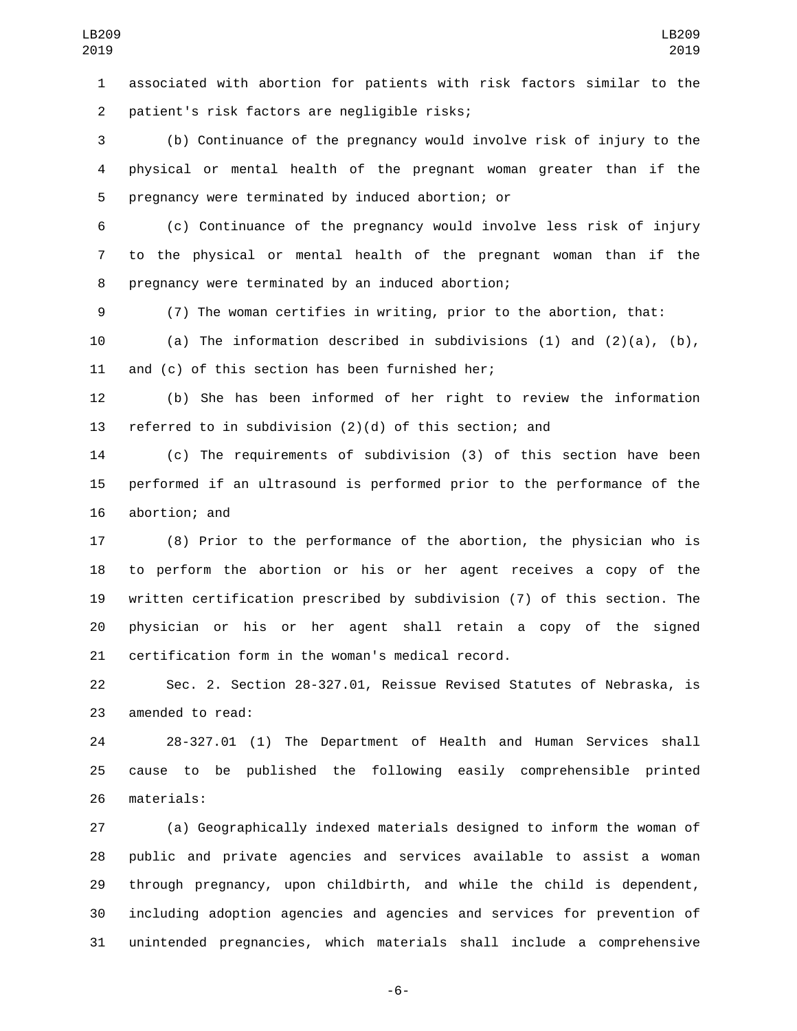associated with abortion for patients with risk factors similar to the patient's risk factors are negligible risks;2

 (b) Continuance of the pregnancy would involve risk of injury to the physical or mental health of the pregnant woman greater than if the 5 pregnancy were terminated by induced abortion; or

 (c) Continuance of the pregnancy would involve less risk of injury to the physical or mental health of the pregnant woman than if the 8 pregnancy were terminated by an induced abortion;

(7) The woman certifies in writing, prior to the abortion, that:

10 (a) The information described in subdivisions (1) and  $(2)(a)$ ,  $(b)$ , 11 and (c) of this section has been furnished her;

 (b) She has been informed of her right to review the information referred to in subdivision (2)(d) of this section; and

 (c) The requirements of subdivision (3) of this section have been performed if an ultrasound is performed prior to the performance of the 16 abortion; and

 (8) Prior to the performance of the abortion, the physician who is to perform the abortion or his or her agent receives a copy of the written certification prescribed by subdivision (7) of this section. The physician or his or her agent shall retain a copy of the signed 21 certification form in the woman's medical record.

 Sec. 2. Section 28-327.01, Reissue Revised Statutes of Nebraska, is 23 amended to read:

 28-327.01 (1) The Department of Health and Human Services shall cause to be published the following easily comprehensible printed 26 materials:

 (a) Geographically indexed materials designed to inform the woman of public and private agencies and services available to assist a woman through pregnancy, upon childbirth, and while the child is dependent, including adoption agencies and agencies and services for prevention of unintended pregnancies, which materials shall include a comprehensive

-6-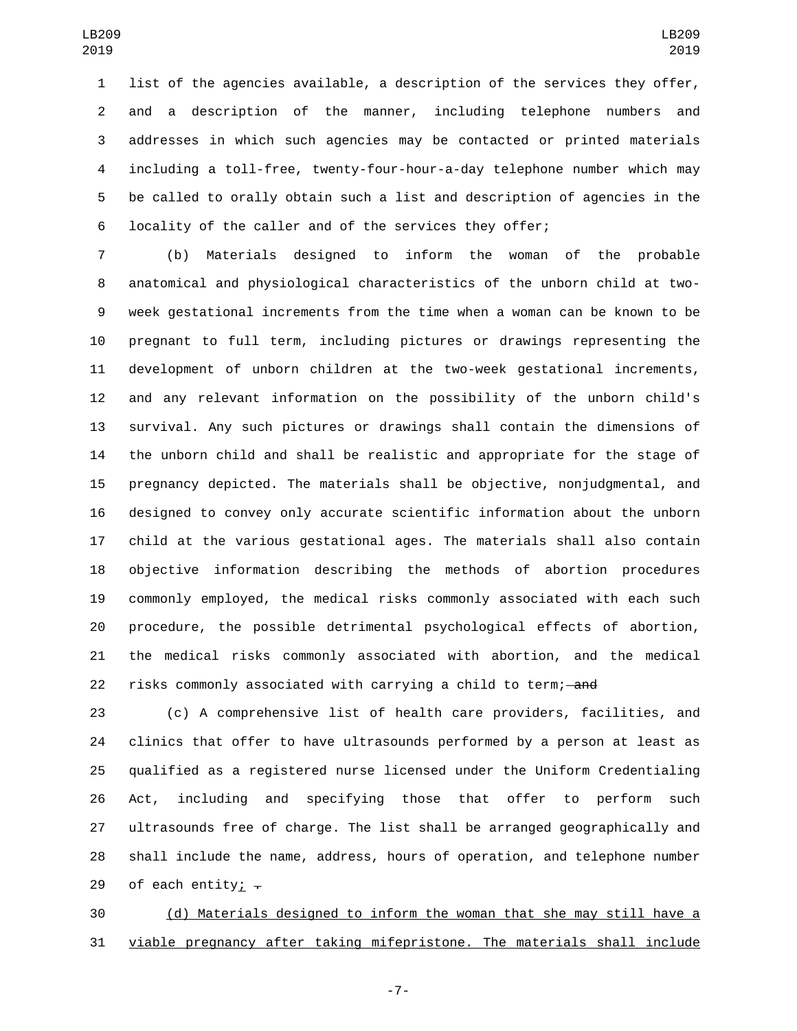list of the agencies available, a description of the services they offer, and a description of the manner, including telephone numbers and addresses in which such agencies may be contacted or printed materials including a toll-free, twenty-four-hour-a-day telephone number which may be called to orally obtain such a list and description of agencies in the locality of the caller and of the services they offer;

 (b) Materials designed to inform the woman of the probable anatomical and physiological characteristics of the unborn child at two- week gestational increments from the time when a woman can be known to be pregnant to full term, including pictures or drawings representing the development of unborn children at the two-week gestational increments, and any relevant information on the possibility of the unborn child's survival. Any such pictures or drawings shall contain the dimensions of the unborn child and shall be realistic and appropriate for the stage of pregnancy depicted. The materials shall be objective, nonjudgmental, and designed to convey only accurate scientific information about the unborn child at the various gestational ages. The materials shall also contain objective information describing the methods of abortion procedures commonly employed, the medical risks commonly associated with each such procedure, the possible detrimental psychological effects of abortion, the medical risks commonly associated with abortion, and the medical 22 risks commonly associated with carrying a child to term;—and

 (c) A comprehensive list of health care providers, facilities, and clinics that offer to have ultrasounds performed by a person at least as qualified as a registered nurse licensed under the Uniform Credentialing Act, including and specifying those that offer to perform such ultrasounds free of charge. The list shall be arranged geographically and shall include the name, address, hours of operation, and telephone number 29 of each entity;  $\overline{z}$ 

 (d) Materials designed to inform the woman that she may still have a viable pregnancy after taking mifepristone. The materials shall include

-7-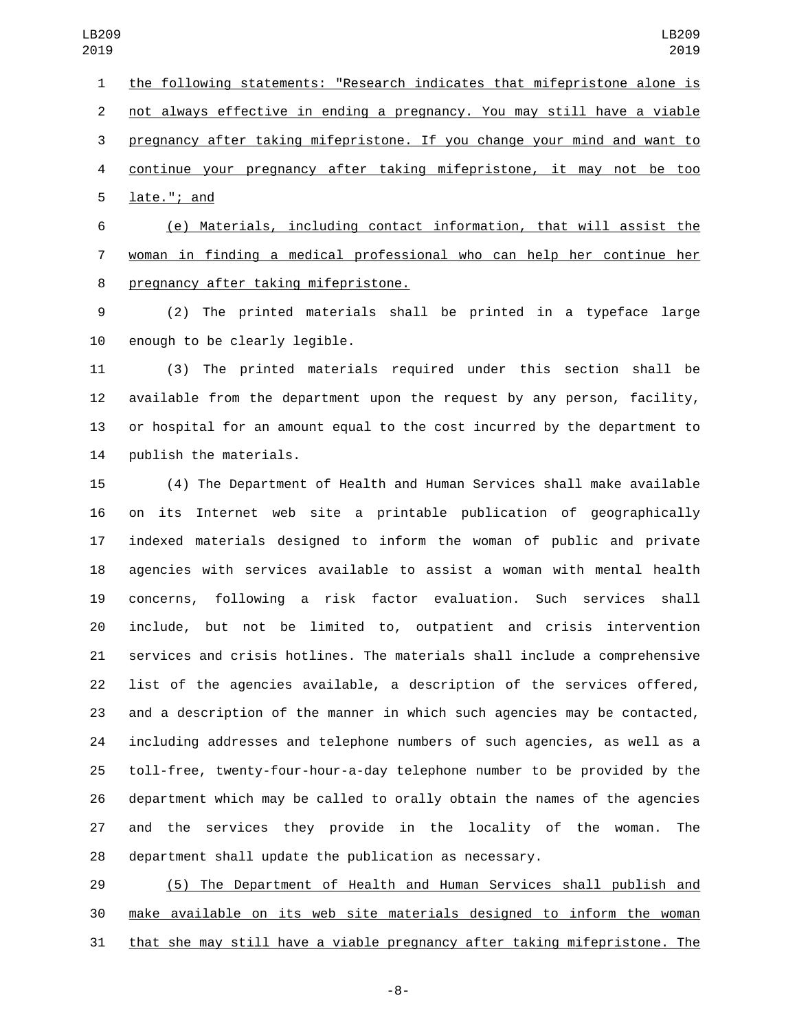the following statements: "Research indicates that mifepristone alone is not always effective in ending a pregnancy. You may still have a viable pregnancy after taking mifepristone. If you change your mind and want to 4 continue your pregnancy after taking mifepristone, it may not be too 5 <u>late."; and</u> (e) Materials, including contact information, that will assist the

 woman in finding a medical professional who can help her continue her 8 pregnancy after taking mifepristone.

 (2) The printed materials shall be printed in a typeface large 10 enough to be clearly legible.

 (3) The printed materials required under this section shall be available from the department upon the request by any person, facility, or hospital for an amount equal to the cost incurred by the department to 14 publish the materials.

 (4) The Department of Health and Human Services shall make available on its Internet web site a printable publication of geographically indexed materials designed to inform the woman of public and private agencies with services available to assist a woman with mental health concerns, following a risk factor evaluation. Such services shall include, but not be limited to, outpatient and crisis intervention services and crisis hotlines. The materials shall include a comprehensive list of the agencies available, a description of the services offered, and a description of the manner in which such agencies may be contacted, including addresses and telephone numbers of such agencies, as well as a toll-free, twenty-four-hour-a-day telephone number to be provided by the department which may be called to orally obtain the names of the agencies and the services they provide in the locality of the woman. The department shall update the publication as necessary.

 (5) The Department of Health and Human Services shall publish and make available on its web site materials designed to inform the woman that she may still have a viable pregnancy after taking mifepristone. The

-8-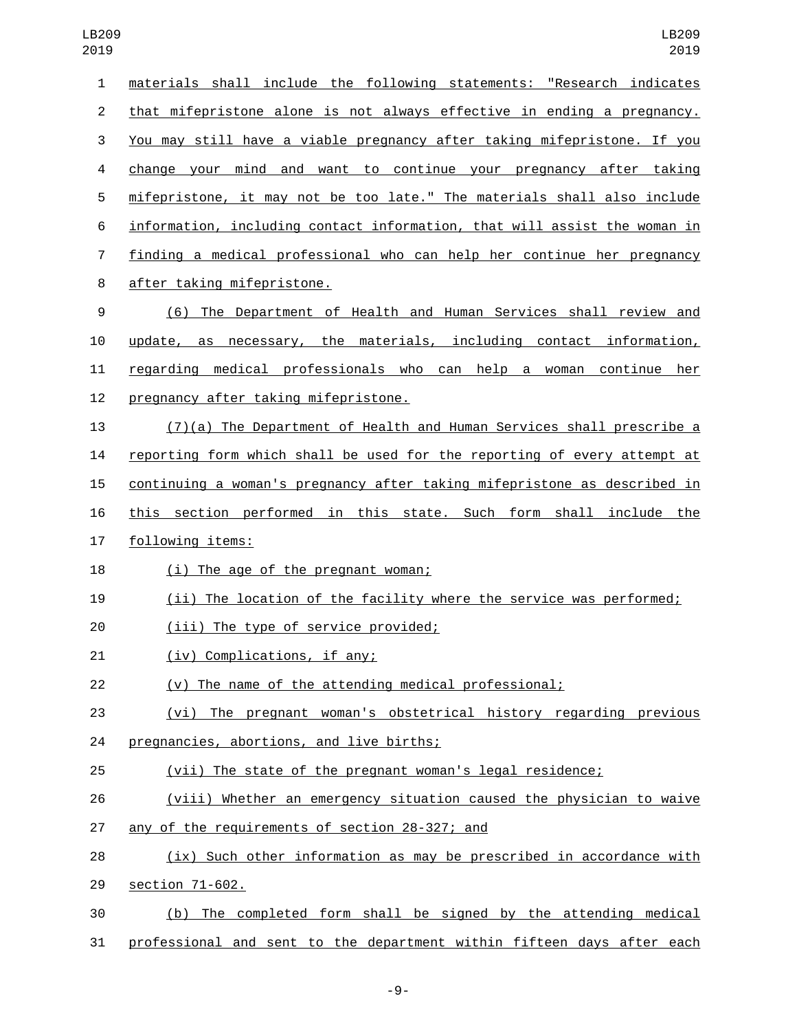| 1              | materials shall include the following statements: "Research indicates     |
|----------------|---------------------------------------------------------------------------|
| $\overline{2}$ | that mifepristone alone is not always effective in ending a pregnancy.    |
| 3              | You may still have a viable pregnancy after taking mifepristone. If you   |
| 4              | change your mind and want to continue your pregnancy after taking         |
| 5              | mifepristone, it may not be too late." The materials shall also include   |
| 6              | information, including contact information, that will assist the woman in |
| $\overline{7}$ | finding a medical professional who can help her continue her pregnancy    |
| 8              | after taking mifepristone.                                                |
| 9              | (6) The Department of Health and Human Services shall review and          |
| 10             | update, as necessary, the materials, including contact information,       |
| 11             | regarding medical professionals who can help a woman continue her         |
| 12             | pregnancy after taking mifepristone.                                      |
| 13             | $(7)(a)$ The Department of Health and Human Services shall prescribe a    |
| 14             | reporting form which shall be used for the reporting of every attempt at  |
| 15             | continuing a woman's pregnancy after taking mifepristone as described in  |
| 16             | this section performed in this state. Such form shall include the         |
| 17             | following items:                                                          |
| 18             | (i) The age of the pregnant woman;                                        |
| 19             | (ii) The location of the facility where the service was performed;        |
| 20             | (iii) The type of service provided;                                       |
| 21             | (iv) Complications, if any;                                               |
| 22             | (v) The name of the attending medical professional;                       |
| 23             | (vi) The pregnant woman's obstetrical history regarding previous          |
| 24             | pregnancies, abortions, and live births;                                  |
| 25             | (vii) The state of the pregnant woman's legal residence;                  |
| 26             | (viii) Whether an emergency situation caused the physician to waive       |
| 27             | any of the requirements of section 28-327; and                            |
| 28             | (ix) Such other information as may be prescribed in accordance with       |
| 29             | section 71-602.                                                           |
| 30             | (b) The completed form shall be signed by the attending medical           |
| 31             | professional and sent to the department within fifteen days after each    |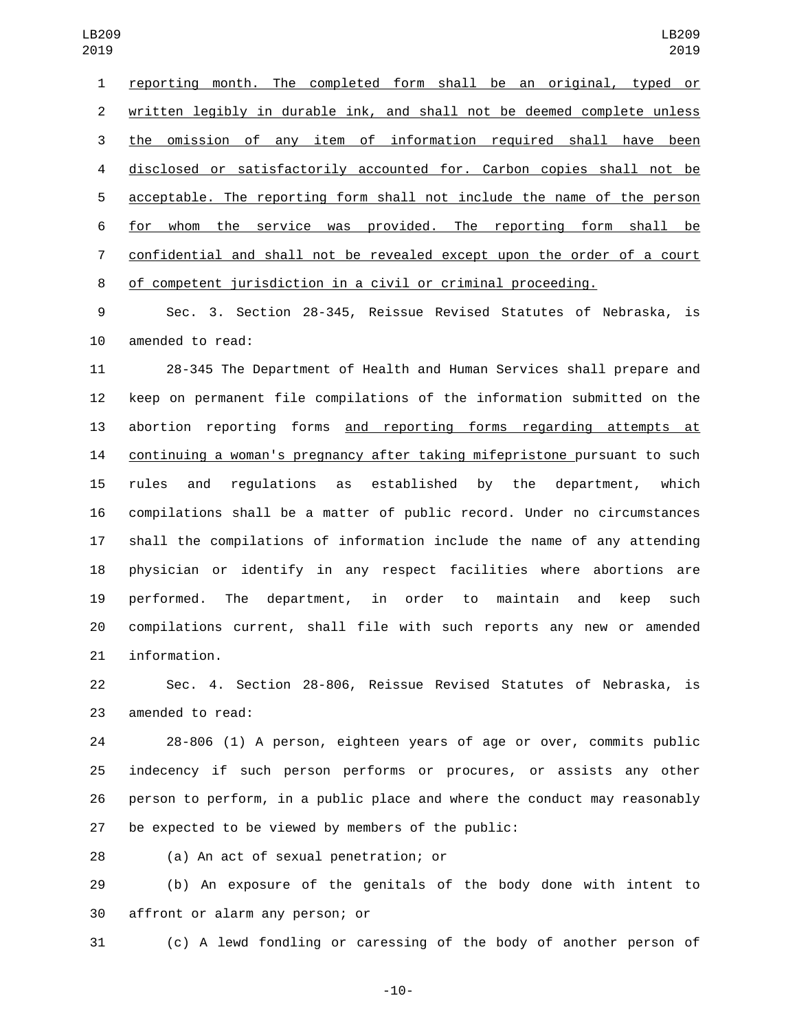reporting month. The completed form shall be an original, typed or written legibly in durable ink, and shall not be deemed complete unless the omission of any item of information required shall have been disclosed or satisfactorily accounted for. Carbon copies shall not be acceptable. The reporting form shall not include the name of the person for whom the service was provided. The reporting form shall be confidential and shall not be revealed except upon the order of a court of competent jurisdiction in a civil or criminal proceeding.

 Sec. 3. Section 28-345, Reissue Revised Statutes of Nebraska, is 10 amended to read:

 28-345 The Department of Health and Human Services shall prepare and keep on permanent file compilations of the information submitted on the abortion reporting forms and reporting forms regarding attempts at continuing a woman's pregnancy after taking mifepristone pursuant to such rules and regulations as established by the department, which compilations shall be a matter of public record. Under no circumstances shall the compilations of information include the name of any attending physician or identify in any respect facilities where abortions are performed. The department, in order to maintain and keep such compilations current, shall file with such reports any new or amended 21 information.

 Sec. 4. Section 28-806, Reissue Revised Statutes of Nebraska, is 23 amended to read:

 28-806 (1) A person, eighteen years of age or over, commits public indecency if such person performs or procures, or assists any other person to perform, in a public place and where the conduct may reasonably be expected to be viewed by members of the public:

(a) An act of sexual penetration; or28

 (b) An exposure of the genitals of the body done with intent to 30 affront or alarm any person; or

(c) A lewd fondling or caressing of the body of another person of

-10-